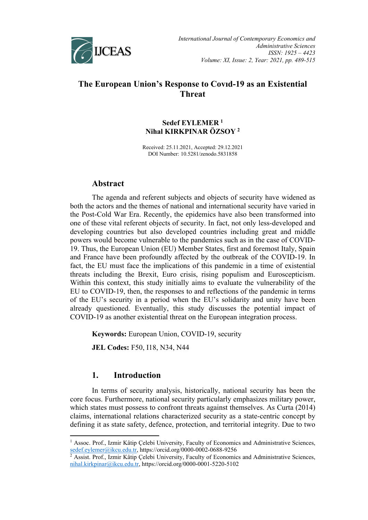

# **The European Union's Response to Covıd-19 as an Existential Threat**

## **Sedef EYLEMER [1](#page-0-0) Nihal KIRKPINAR ÖZSOY [2](#page-0-1)**

Received: 25.11.2021, Accepted: 29.12.2021 DOI Number: 10.5281/zenodo.5831858

## **Abstract**

The agenda and referent subjects and objects of security have widened as both the actors and the themes of national and international security have varied in the Post-Cold War Era. Recently, the epidemics have also been transformed into one of these vital referent objects of security. In fact, not only less-developed and developing countries but also developed countries including great and middle powers would become vulnerable to the pandemics such as in the case of COVID-19. Thus, the European Union (EU) Member States, first and foremost Italy, Spain and France have been profoundly affected by the outbreak of the COVID-19. In fact, the EU must face the implications of this pandemic in a time of existential threats including the Brexit, Euro crisis, rising populism and Euroscepticism. Within this context, this study initially aims to evaluate the vulnerability of the EU to COVID-19, then, the responses to and reflections of the pandemic in terms of the EU's security in a period when the EU's solidarity and unity have been already questioned. Eventually, this study discusses the potential impact of COVID-19 as another existential threat on the European integration process.

**Keywords:** European Union, COVID-19, security

**JEL Codes:** F50, I18, N34, N44

# **1. Introduction**

In terms of security analysis, historically, national security has been the core focus. Furthermore, national security particularly emphasizes military power, which states must possess to confront threats against themselves. As Curta (2014) claims, international relations characterized security as a state-centric concept by defining it as state safety, defence, protection, and territorial integrity. Due to two

<span id="page-0-0"></span><sup>&</sup>lt;sup>1</sup> Assoc. Prof., Izmir Kâtip Çelebi University, Faculty of Economics and Administrative Sciences, [sedef.eylemer@ikcu.edu.tr,](mailto:sedef.eylemer@ikcu.edu.tr) https://orcid.org/0000-0002-0688-9256

<span id="page-0-1"></span><sup>&</sup>lt;sup>2</sup> Assist. Prof., Izmir Kâtip Çelebi University, Faculty of Economics and Administrative Sciences, [nihal.kirkpinar@ikcu.edu.tr,](mailto:nihal.kirkpinar@ikcu.edu.tr) https://orcid.org/0000-0001-5220-5102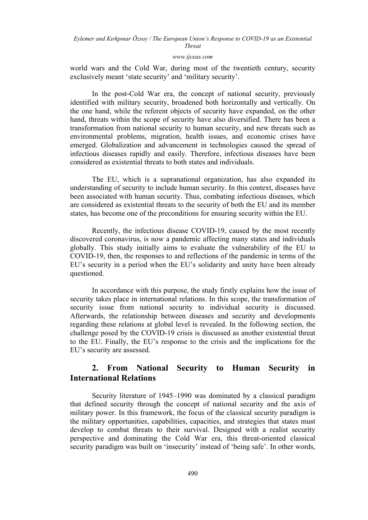#### *[www.ijceas.com](http://www.ijceas.com/)*

world wars and the Cold War, during most of the twentieth century, security exclusively meant 'state security' and 'military security'.

In the post-Cold War era, the concept of national security, previously identified with military security, broadened both horizontally and vertically. On the one hand, while the referent objects of security have expanded, on the other hand, threats within the scope of security have also diversified. There has been a transformation from national security to human security, and new threats such as environmental problems, migration, health issues, and economic crises have emerged. Globalization and advancement in technologies caused the spread of infectious diseases rapidly and easily. Therefore, infectious diseases have been considered as existential threats to both states and individuals.

The EU, which is a supranational organization, has also expanded its understanding of security to include human security. In this context, diseases have been associated with human security. Thus, combating infectious diseases, which are considered as existential threats to the security of both the EU and its member states, has become one of the preconditions for ensuring security within the EU.

Recently, the infectious disease COVID-19, caused by the most recently discovered coronavirus, is now a pandemic affecting many states and individuals globally. This study initially aims to evaluate the vulnerability of the EU to COVID-19, then, the responses to and reflections of the pandemic in terms of the EU's security in a period when the EU's solidarity and unity have been already questioned.

In accordance with this purpose, the study firstly explains how the issue of security takes place in international relations. In this scope, the transformation of security issue from national security to individual security is discussed. Afterwards, the relationship between diseases and security and developments regarding these relations at global level is revealed. In the following section, the challenge posed by the COVID-19 crisis is discussed as another existential threat to the EU. Finally, the EU's response to the crisis and the implications for the EU's security are assessed.

# **2. From National Security to Human Security in International Relations**

Security literature of 1945–1990 was dominated by a classical paradigm that defined security through the concept of national security and the axis of military power. In this framework, the focus of the classical security paradigm is the military opportunities, capabilities, capacities, and strategies that states must develop to combat threats to their survival. Designed with a realist security perspective and dominating the Cold War era, this threat-oriented classical security paradigm was built on 'insecurity' instead of 'being safe'. In other words,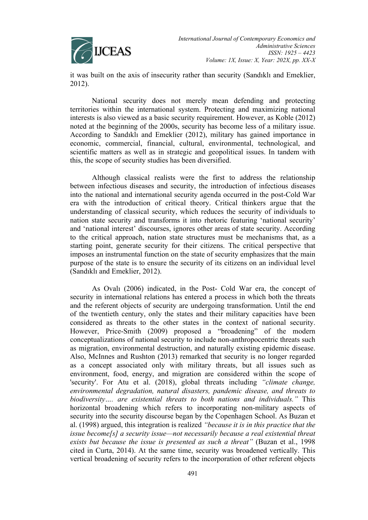

it was built on the axis of insecurity rather than security (Sandıklı and Emeklier, 2012).

National security does not merely mean defending and protecting territories within the international system. Protecting and maximizing national interests is also viewed as a basic security requirement. However, as Koble (2012) noted at the beginning of the 2000s, security has become less of a military issue. According to Sandıklı and Emeklier (2012), military has gained importance in economic, commercial, financial, cultural, environmental, technological, and scientific matters as well as in strategic and geopolitical issues. In tandem with this, the scope of security studies has been diversified.

Although classical realists were the first to address the relationship between infectious diseases and security, the introduction of infectious diseases into the national and international security agenda occurred in the post-Cold War era with the introduction of critical theory. Critical thinkers argue that the understanding of classical security, which reduces the security of individuals to nation state security and transforms it into rhetoric featuring 'national security' and 'national interest' discourses, ignores other areas of state security. According to the critical approach, nation state structures must be mechanisms that, as a starting point, generate security for their citizens. The critical perspective that imposes an instrumental function on the state of security emphasizes that the main purpose of the state is to ensure the security of its citizens on an individual level (Sandıklı and Emeklier, 2012).

As Ovalı (2006) indicated, in the Post- Cold War era, the concept of security in international relations has entered a process in which both the threats and the referent objects of security are undergoing transformation. Until the end of the twentieth century, only the states and their military capacities have been considered as threats to the other states in the context of national security. However, Price-Smith (2009) proposed a "broadening" of the modern conceptualizations of national security to include non-anthropocentric threats such as migration, environmental destruction, and naturally existing epidemic disease. Also, McInnes and Rushton (2013) remarked that security is no longer regarded as a concept associated only with military threats, but all issues such as environment, food, energy, and migration are considered within the scope of 'security'. For Atu et al. (2018), global threats including *"climate change, environmental degradation, natural disasters, pandemic disease, and threats to biodiversity…. are existential threats to both nations and individuals."* This horizontal broadening which refers to incorporating non-military aspects of security into the security discourse began by the Copenhagen School. As Buzan et al. (1998) argued, this integration is realized *"because it is in this practice that the issue become[s] a security issue—not necessarily because a real existential threat exists but because the issue is presented as such a threat"* (Buzan et al., 1998 cited in Curta, 2014). At the same time, security was broadened vertically. This vertical broadening of security refers to the incorporation of other referent objects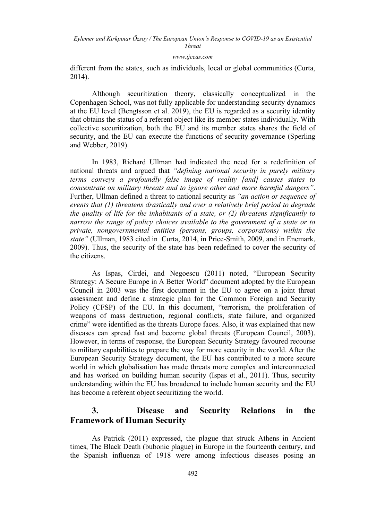#### *[www.ijceas.com](http://www.ijceas.com/)*

different from the states, such as individuals, local or global communities (Curta, 2014).

Although securitization theory, classically conceptualized in the Copenhagen School, was not fully applicable for understanding security dynamics at the EU level (Bengtsson et al. 2019), the EU is regarded as a security identity that obtains the status of a referent object like its member states individually. With collective securitization, both the EU and its member states shares the field of security, and the EU can execute the functions of security governance (Sperling and Webber, 2019).

In 1983, Richard Ullman had indicated the need for a redefinition of national threats and argued that *"defining national security in purely military terms conveys a profoundly false image of reality [and] causes states to concentrate on military threats and to ignore other and more harmful dangers"*. Further, Ullman defined a threat to national security as *"an action or sequence of events that (1) threatens drastically and over a relatively brief period to degrade the quality of life for the inhabitants of a state, or (2) threatens significantly to narrow the range of policy choices available to the government of a state or to private, nongovernmental entities (persons, groups, corporations) within the state"* (Ullman, 1983 cited in Curta, 2014, in Price-Smith, 2009, and in Enemark, 2009). Thus, the security of the state has been redefined to cover the security of the citizens.

As Ispas, Cirdei, and Negoescu (2011) noted, "European Security Strategy: A Secure Europe in A Better World" document adopted by the European Council in 2003 was the first document in the EU to agree on a joint threat assessment and define a strategic plan for the Common Foreign and Security Policy (CFSP) of the EU. In this document, "terrorism, the proliferation of weapons of mass destruction, regional conflicts, state failure, and organized crime" were identified as the threats Europe faces. Also, it was explained that new diseases can spread fast and become global threats (European Council, 2003). However, in terms of response, the European Security Strategy favoured recourse to military capabilities to prepare the way for more security in the world. After the European Security Strategy document, the EU has contributed to a more secure world in which globalisation has made threats more complex and interconnected and has worked on building human security (Ispas et al., 2011). Thus, security understanding within the EU has broadened to include human security and the EU has become a referent object securitizing the world.

# **3. Disease and Security Relations in the Framework of Human Security**

As Patrick (2011) expressed, the plague that struck Athens in Ancient times, The Black Death (bubonic plague) in Europe in the fourteenth century, and the Spanish influenza of 1918 were among infectious diseases posing an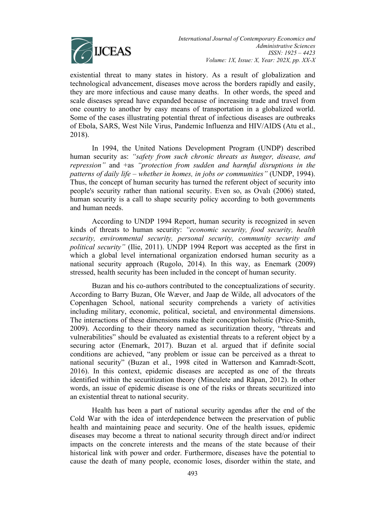

existential threat to many states in history. As a result of globalization and technological advancement, diseases move across the borders rapidly and easily, they are more infectious and cause many deaths. In other words, the speed and scale diseases spread have expanded because of increasing trade and travel from one country to another by easy means of transportation in a globalized world. Some of the cases illustrating potential threat of infectious diseases are outbreaks of Ebola, SARS, West Nile Virus, Pandemic Influenza and HIV/AIDS (Atu et al., 2018).

In 1994, the United Nations Development Program (UNDP) described human security as: *"safety from such chronic threats as hunger, disease, and repression"* and +as *"protection from sudden and harmful disruptions in the patterns of daily life – whether in homes, in jobs or communities"* (UNDP, 1994). Thus, the concept of human security has turned the referent object of security into people's security rather than national security. Even so, as Ovalı (2006) stated, human security is a call to shape security policy according to both governments and human needs.

According to UNDP 1994 Report, human security is recognized in seven kinds of threats to human security: *"economic security, food security, health security, environmental security, personal security, community security and political security"* (Ilie, 2011). UNDP 1994 Report was accepted as the first in which a global level international organization endorsed human security as a national security approach (Rugolo, 2014). In this way, as Enemark (2009) stressed, health security has been included in the concept of human security.

Buzan and his co-authors contributed to the conceptualizations of security. According to Barry Buzan, Ole Wæver, and Jaap de Wilde, all advocators of the Copenhagen School, national security comprehends a variety of activities including military, economic, political, societal, and environmental dimensions. The interactions of these dimensions make their conception holistic (Price-Smith, 2009). According to their theory named as securitization theory, "threats and vulnerabilities" should be evaluated as existential threats to a referent object by a securing actor (Enemark, 2017). Buzan et al. argued that if definite social conditions are achieved, "any problem or issue can be perceived as a threat to national security" (Buzan et al., 1998 cited in Watterson and Kamradt-Scott, 2016). In this context, epidemic diseases are accepted as one of the threats identified within the securitization theory (Minculete and Răpan, 2012). In other words, an issue of epidemic disease is one of the risks or threats securitized into an existential threat to national security.

Health has been a part of national security agendas after the end of the Cold War with the idea of interdependence between the preservation of public health and maintaining peace and security. One of the health issues, epidemic diseases may become a threat to national security through direct and/or indirect impacts on the concrete interests and the means of the state because of their historical link with power and order. Furthermore, diseases have the potential to cause the death of many people, economic loses, disorder within the state, and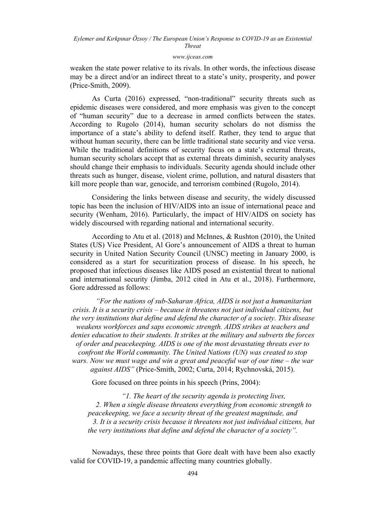#### *[www.ijceas.com](http://www.ijceas.com/)*

weaken the state power relative to its rivals. In other words, the infectious disease may be a direct and/or an indirect threat to a state's unity, prosperity, and power (Price-Smith, 2009).

As Curta (2016) expressed, "non-traditional" security threats such as epidemic diseases were considered, and more emphasis was given to the concept of "human security" due to a decrease in armed conflicts between the states. According to Rugolo (2014), human security scholars do not dismiss the importance of a state's ability to defend itself. Rather, they tend to argue that without human security, there can be little traditional state security and vice versa. While the traditional definitions of security focus on a state's external threats, human security scholars accept that as external threats diminish, security analyses should change their emphasis to individuals. Security agenda should include other threats such as hunger, disease, violent crime, pollution, and natural disasters that kill more people than war, genocide, and terrorism combined (Rugolo, 2014).

Considering the links between disease and security, the widely discussed topic has been the inclusion of HIV/AIDS into an issue of international peace and security (Wenham, 2016). Particularly, the impact of HIV/AIDS on society has widely discoursed with regarding national and international security.

According to Atu et al. (2018) and McInnes, & Rushton (2010), the United States (US) Vice President, Al Gore's announcement of AIDS a threat to human security in United Nation Security Council (UNSC) meeting in January 2000, is considered as a start for securitization process of disease. In his speech, he proposed that infectious diseases like AIDS posed an existential threat to national and international security (Jimba, 2012 cited in Atu et al., 2018). Furthermore, Gore addressed as follows:

*"For the nations of sub-Saharan Africa, AIDS is not just a humanitarian crisis. It is a security crisis – because it threatens not just individual citizens, but the very institutions that define and defend the character of a society. This disease weakens workforces and saps economic strength. AIDS strikes at teachers and denies education to their students. It strikes at the military and subverts the forces of order and peacekeeping. AIDS is one of the most devastating threats ever to confront the World community. The United Nations (UN) was created to stop wars. Now we must wage and win a great and peaceful war of our time – the war against AIDS"* (Price-Smith, 2002; Curta, 2014; Rychnovská, 2015).

Gore focused on three points in his speech (Prins, 2004):

*"1. The heart of the security agenda is protecting lives, 2. When a single disease threatens everything from economic strength to peacekeeping, we face a security threat of the greatest magnitude, and 3. It is a security crisis because it threatens not just individual citizens, but the very institutions that define and defend the character of a society".*

Nowadays, these three points that Gore dealt with have been also exactly valid for COVID-19, a pandemic affecting many countries globally.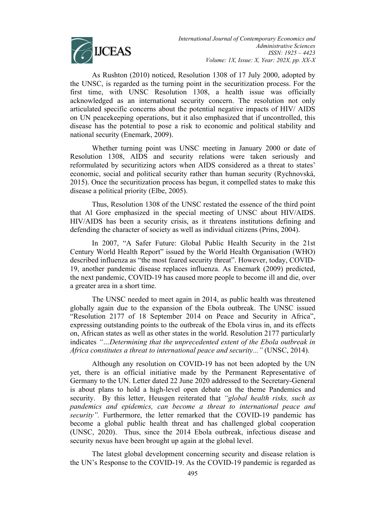

As Rushton (2010) noticed, Resolution 1308 of 17 July 2000, adopted by the UNSC, is regarded as the turning point in the securitization process. For the first time, with UNSC Resolution 1308, a health issue was officially acknowledged as an international security concern. The resolution not only articulated specific concerns about the potential negative impacts of HIV/ AIDS on UN peacekeeping operations, but it also emphasized that if uncontrolled, this disease has the potential to pose a risk to economic and political stability and national security (Enemark, 2009).

Whether turning point was UNSC meeting in January 2000 or date of Resolution 1308, AIDS and security relations were taken seriously and reformulated by securitizing actors when AIDS considered as a threat to states' economic, social and political security rather than human security (Rychnovská, 2015). Once the securitization process has begun, it compelled states to make this disease a political priority (Elbe, 2005).

Thus, Resolution 1308 of the UNSC restated the essence of the third point that Al Gore emphasized in the special meeting of UNSC about HIV/AIDS. HIV/AIDS has been a security crisis, as it threatens institutions defining and defending the character of society as well as individual citizens (Prins, 2004).

In 2007, "A Safer Future: Global Public Health Security in the 21st Century World Health Report" issued by the World Health Organisation (WHO) described influenza as "the most feared security threat". However, today, COVID-19, another pandemic disease replaces influenza. As Enemark (2009) predicted, the next pandemic, COVID-19 has caused more people to become ill and die, over a greater area in a short time.

The UNSC needed to meet again in 2014, as public health was threatened globally again due to the expansion of the Ebola outbreak. The UNSC issued "Resolution 2177 of 18 September 2014 on Peace and Security in Africa", expressing outstanding points to the outbreak of the Ebola virus in, and its effects on, African states as well as other states in the world. Resolution 2177 particularly indicates *"…Determining that the unprecedented extent of the Ebola outbreak in Africa constitutes a threat to international peace and security..."* (UNSC, 2014).

Although any resolution on COVID-19 has not been adopted by the UN yet, there is an official initiative made by the Permanent Representative of Germany to the UN. Letter dated 22 June 2020 addressed to the Secretary-General is about plans to hold a high-level open debate on the theme Pandemics and security. By this letter, Heusgen reiterated that *"global health risks, such as pandemics and epidemics, can become a threat to international peace and security".* Furthermore, the letter remarked that the COVID-19 pandemic has become a global public health threat and has challenged global cooperation (UNSC, 2020). Thus, since the 2014 Ebola outbreak, infectious disease and security nexus have been brought up again at the global level.

The latest global development concerning security and disease relation is the UN's Response to the COVID-19. As the COVID-19 pandemic is regarded as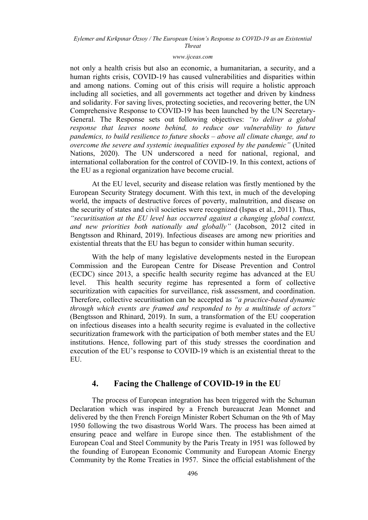### *[www.ijceas.com](http://www.ijceas.com/)*

not only a health crisis but also an economic, a humanitarian, a security, and a human rights crisis, COVID-19 has caused vulnerabilities and disparities within and among nations. Coming out of this crisis will require a holistic approach including all societies, and all governments act together and driven by kindness and solidarity. For saving lives, protecting societies, and recovering better, the UN Comprehensive Response to COVID-19 has been launched by the UN Secretary-General. The Response sets out following objectives: *"to deliver a global response that leaves noone behind, to reduce our vulnerability to future pandemics, to build resilience to future shocks – above all climate change, and to overcome the severe and systemic inequalities exposed by the pandemic"* (United Nations, 2020). The UN underscored a need for national, regional, and international collaboration for the control of COVID-19. In this context, actions of the EU as a regional organization have become crucial.

At the EU level, security and disease relation was firstly mentioned by the European Security Strategy document. With this text, in much of the developing world, the impacts of destructive forces of poverty, malnutrition, and disease on the security of states and civil societies were recognized (Ispas et al., 2011). Thus, *"securitisation at the EU level has occurred against a changing global context, and new priorities both nationally and globally"* (Jacobson, 2012 cited in Bengtsson and Rhinard, 2019). Infectious diseases are among new priorities and existential threats that the EU has begun to consider within human security.

With the help of many legislative developments nested in the European Commission and the European Centre for Disease Prevention and Control (ECDC) since 2013, a specific health security regime has advanced at the EU level. This health security regime has represented a form of collective securitization with capacities for surveillance, risk assessment, and coordination. Therefore, collective securitisation can be accepted as *"a practice-based dynamic through which events are framed and responded to by a multitude of actors"* (Bengtsson and Rhinard, 2019). In sum, a transformation of the EU cooperation on infectious diseases into a health security regime is evaluated in the collective securitization framework with the participation of both member states and the EU institutions. Hence, following part of this study stresses the coordination and execution of the EU's response to COVID-19 which is an existential threat to the EU.

## **4. Facing the Challenge of COVID-19 in the EU**

The process of European integration has been triggered with the Schuman Declaration which was inspired by a French bureaucrat Jean Monnet and delivered by the then French Foreign Minister Robert Schuman on the 9th of May 1950 following the two disastrous World Wars. The process has been aimed at ensuring peace and welfare in Europe since then. The establishment of the European Coal and Steel Community by the Paris Treaty in 1951 was followed by the founding of European Economic Community and European Atomic Energy Community by the Rome Treaties in 1957. Since the official establishment of the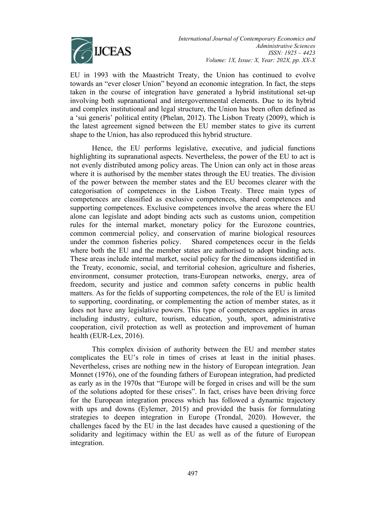

EU in 1993 with the Maastricht Treaty, the Union has continued to evolve towards an "ever closer Union" beyond an economic integration. In fact, the steps taken in the course of integration have generated a hybrid institutional set-up involving both supranational and intergovernmental elements. Due to its hybrid and complex institutional and legal structure, the Union has been often defined as a 'sui generis' political entity (Phelan, 2012). The Lisbon Treaty (2009), which is the latest agreement signed between the EU member states to give its current shape to the Union, has also reproduced this hybrid structure.

Hence, the EU performs legislative, executive, and judicial functions highlighting its supranational aspects. Nevertheless, the power of the EU to act is not evenly distributed among policy areas. The Union can only act in those areas where it is authorised by the member states through the EU treaties. The division of the power between the member states and the EU becomes clearer with the categorisation of competences in the Lisbon Treaty. Three main types of competences are classified as exclusive competences, shared competences and supporting competences. Exclusive competences involve the areas where the EU alone can legislate and adopt binding acts such as customs union, competition rules for the internal market, monetary policy for the Eurozone countries, common commercial policy, and conservation of marine biological resources under the common fisheries policy. Shared competences occur in the fields where both the EU and the member states are authorised to adopt binding acts. These areas include internal market, social policy for the dimensions identified in the Treaty, economic, social, and territorial cohesion, agriculture and fisheries, environment, consumer protection, trans-European networks, energy, area of freedom, security and justice and common safety concerns in public health matters. As for the fields of supporting competences, the role of the EU is limited to supporting, coordinating, or complementing the action of member states, as it does not have any legislative powers. This type of competences applies in areas including industry, culture, tourism, education, youth, sport, administrative cooperation, civil protection as well as protection and improvement of human health (EUR-Lex, 2016).

This complex division of authority between the EU and member states complicates the EU's role in times of crises at least in the initial phases. Nevertheless, crises are nothing new in the history of European integration. Jean Monnet (1976), one of the founding fathers of European integration, had predicted as early as in the 1970s that "Europe will be forged in crises and will be the sum of the solutions adopted for these crises". In fact, crises have been driving force for the European integration process which has followed a dynamic trajectory with ups and downs (Eylemer, 2015) and provided the basis for formulating strategies to deepen integration in Europe (Trondal, 2020). However, the challenges faced by the EU in the last decades have caused a questioning of the solidarity and legitimacy within the EU as well as of the future of European integration.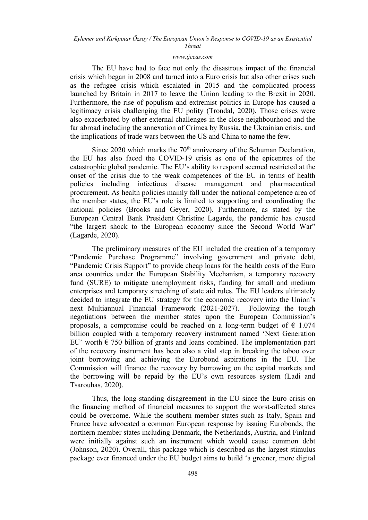#### *[www.ijceas.com](http://www.ijceas.com/)*

The EU have had to face not only the disastrous impact of the financial crisis which began in 2008 and turned into a Euro crisis but also other crises such as the refugee crisis which escalated in 2015 and the complicated process launched by Britain in 2017 to leave the Union leading to the Brexit in 2020. Furthermore, the rise of populism and extremist politics in Europe has caused a legitimacy crisis challenging the EU polity (Trondal, 2020). Those crises were also exacerbated by other external challenges in the close neighbourhood and the far abroad including the annexation of Crimea by Russia, the Ukrainian crisis, and the implications of trade wars between the US and China to name the few.

Since 2020 which marks the  $70<sup>th</sup>$  anniversary of the Schuman Declaration, the EU has also faced the COVID-19 crisis as one of the epicentres of the catastrophic global pandemic. The EU's ability to respond seemed restricted at the onset of the crisis due to the weak competences of the EU in terms of health policies including infectious disease management and pharmaceutical procurement. As health policies mainly fall under the national competence area of the member states, the EU's role is limited to supporting and coordinating the national policies (Brooks and Geyer, 2020). Furthermore, as stated by the European Central Bank President Christine Lagarde, the pandemic has caused "the largest shock to the European economy since the Second World War" (Lagarde, 2020).

The preliminary measures of the EU included the creation of a temporary "Pandemic Purchase Programme" involving government and private debt, "Pandemic Crisis Support" to provide cheap loans for the health costs of the Euro area countries under the European Stability Mechanism, a temporary recovery fund (SURE) to mitigate unemployment risks, funding for small and medium enterprises and temporary stretching of state aid rules. The EU leaders ultimately decided to integrate the EU strategy for the economic recovery into the Union's next Multiannual Financial Framework (2021-2027). Following the tough negotiations between the member states upon the European Commission's proposals, a compromise could be reached on a long-term budget of  $\epsilon$  1.074 billion coupled with a temporary recovery instrument named 'Next Generation EU' worth  $\epsilon$  750 billion of grants and loans combined. The implementation part of the recovery instrument has been also a vital step in breaking the taboo over joint borrowing and achieving the Eurobond aspirations in the EU. The Commission will finance the recovery by borrowing on the capital markets and the borrowing will be repaid by the EU's own resources system (Ladi and Tsarouhas, 2020).

Thus, the long-standing disagreement in the EU since the Euro crisis on the financing method of financial measures to support the worst-affected states could be overcome. While the southern member states such as Italy, Spain and France have advocated a common European response by issuing Eurobonds, the northern member states including Denmark, the Netherlands, Austria, and Finland were initially against such an instrument which would cause common debt (Johnson, 2020). Overall, this package which is described as the largest stimulus package ever financed under the EU budget aims to build 'a greener, more digital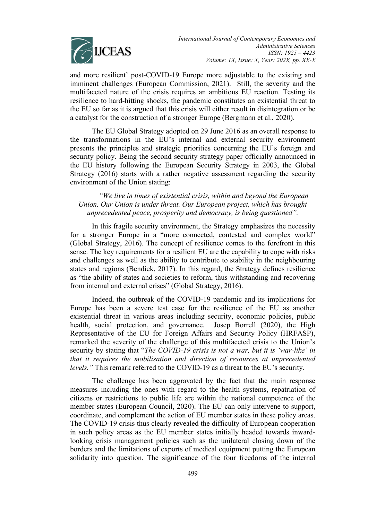

and more resilient' post-COVID-19 Europe more adjustable to the existing and imminent challenges (European Commission, 2021). Still, the severity and the multifaceted nature of the crisis requires an ambitious EU reaction. Testing its resilience to hard-hitting shocks, the pandemic constitutes an existential threat to the EU so far as it is argued that this crisis will either result in disintegration or be a catalyst for the construction of a stronger Europe (Bergmann et al., 2020).

The EU Global Strategy adopted on 29 June 2016 as an overall response to the transformations in the EU's internal and external security environment presents the principles and strategic priorities concerning the EU's foreign and security policy. Being the second security strategy paper officially announced in the EU history following the European Security Strategy in 2003, the Global Strategy (2016) starts with a rather negative assessment regarding the security environment of the Union stating:

*"We live in times of existential crisis, within and beyond the European Union. Our Union is under threat. Our European project, which has brought unprecedented peace, prosperity and democracy, is being questioned".*

In this fragile security environment, the Strategy emphasizes the necessity for a stronger Europe in a "more connected, contested and complex world" (Global Strategy, 2016). The concept of resilience comes to the forefront in this sense. The key requirements for a resilient EU are the capability to cope with risks and challenges as well as the ability to contribute to stability in the neighbouring states and regions (Bendiek, 2017). In this regard, the Strategy defines resilience as "the ability of states and societies to reform, thus withstanding and recovering from internal and external crises" (Global Strategy, 2016).

Indeed, the outbreak of the COVID-19 pandemic and its implications for Europe has been a severe test case for the resilience of the EU as another existential threat in various areas including security, economic policies, public health, social protection, and governance. Josep Borrell (2020), the High Representative of the EU for Foreign Affairs and Security Policy (HRFASP), remarked the severity of the challenge of this multifaceted crisis to the Union's security by stating that "*The COVID-19 crisis is not a war, but it is 'war-like' in that it requires the mobilisation and direction of resources at unprecedented levels."* This remark referred to the COVID-19 as a threat to the EU's security.

The challenge has been aggravated by the fact that the main response measures including the ones with regard to the health systems, repatriation of citizens or restrictions to public life are within the national competence of the member states (European Council, 2020). The EU can only intervene to support, coordinate, and complement the action of EU member states in these policy areas. The COVID-19 crisis thus clearly revealed the difficulty of European cooperation in such policy areas as the EU member states initially headed towards inwardlooking crisis management policies such as the unilateral closing down of the borders and the limitations of exports of medical equipment putting the European solidarity into question. The significance of the four freedoms of the internal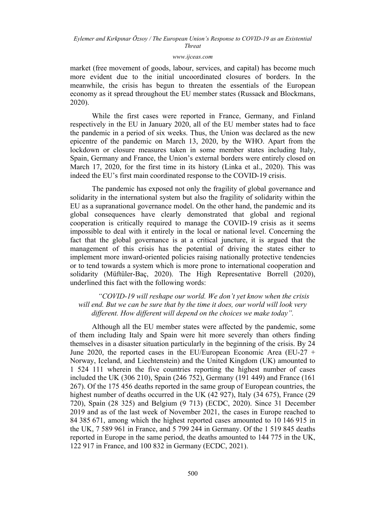#### *[www.ijceas.com](http://www.ijceas.com/)*

market (free movement of goods, labour, services, and capital) has become much more evident due to the initial uncoordinated closures of borders. In the meanwhile, the crisis has begun to threaten the essentials of the European economy as it spread throughout the EU member states (Russack and Blockmans, 2020).

While the first cases were reported in France, Germany, and Finland respectively in the EU in January 2020, all of the EU member states had to face the pandemic in a period of six weeks. Thus, the Union was declared as the new epicentre of the pandemic on March 13, 2020, by the WHO. Apart from the lockdown or closure measures taken in some member states including Italy, Spain, Germany and France, the Union's external borders were entirely closed on March 17, 2020, for the first time in its history (Linka et al., 2020). This was indeed the EU's first main coordinated response to the COVID-19 crisis.

The pandemic has exposed not only the fragility of global governance and solidarity in the international system but also the fragility of solidarity within the EU as a supranational governance model. On the other hand, the pandemic and its global consequences have clearly demonstrated that global and regional cooperation is critically required to manage the COVID-19 crisis as it seems impossible to deal with it entirely in the local or national level. Concerning the fact that the global governance is at a critical juncture, it is argued that the management of this crisis has the potential of driving the states either to implement more inward-oriented policies raising nationally protective tendencies or to tend towards a system which is more prone to international cooperation and solidarity (Müftüler-Baç, 2020). The High Representative Borrell (2020), underlined this fact with the following words:

*"COVID-19 will reshape our world. We don't yet know when the crisis will end. But we can be sure that by the time it does, our world will look very different. How different will depend on the choices we make today".*

Although all the EU member states were affected by the pandemic, some of them including Italy and Spain were hit more severely than others finding themselves in a disaster situation particularly in the beginning of the crisis. By 24 June 2020, the reported cases in the EU/European Economic Area (EU-27 + Norway, Iceland, and Liechtenstein) and the United Kingdom (UK) amounted to 1 524 111 wherein the five countries reporting the highest number of cases included the UK (306 210), Spain (246 752), Germany (191 449) and France (161 267). Of the 175 456 deaths reported in the same group of European countries, the highest number of deaths occurred in the UK (42 927), Italy (34 675), France (29 720), Spain (28 325) and Belgium (9 713) (ECDC, 2020). Since 31 December 2019 and as of the last week of November 2021, the cases in Europe reached to 84 385 671, among which the highest reported cases amounted to 10 146 915 in the UK, 7 589 961 in France, and 5 799 244 in Germany. Of the 1 519 845 deaths reported in Europe in the same period, the deaths amounted to 144 775 in the UK, 122 917 in France, and 100 832 in Germany (ECDC, 2021).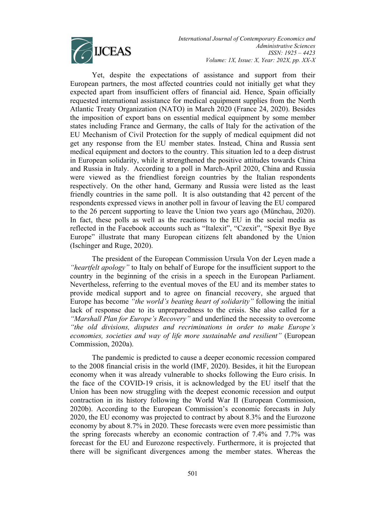

*International Journal of Contemporary Economics and Administrative Sciences ISSN: 1925 – 4423 Volume: 1X, Issue: X, Year: 202X, pp. XX-X*

Yet, despite the expectations of assistance and support from their European partners, the most affected countries could not initially get what they expected apart from insufficient offers of financial aid. Hence, Spain officially requested international assistance for medical equipment supplies from the North Atlantic Treaty Organization (NATO) in March 2020 (France 24, 2020). Besides the imposition of export bans on essential medical equipment by some member states including France and Germany, the calls of Italy for the activation of the EU Mechanism of Civil Protection for the supply of medical equipment did not get any response from the EU member states. Instead, China and Russia sent medical equipment and doctors to the country. This situation led to a deep distrust in European solidarity, while it strengthened the positive attitudes towards China and Russia in Italy. According to a poll in March-April 2020, China and Russia were viewed as the friendliest foreign countries by the Italian respondents respectively. On the other hand, Germany and Russia were listed as the least friendly countries in the same poll. It is also outstanding that 42 percent of the respondents expressed views in another poll in favour of leaving the EU compared to the 26 percent supporting to leave the Union two years ago (Münchau, 2020). In fact, these polls as well as the reactions to the EU in the social media as reflected in the Facebook accounts such as "Italexit", "Czexit", "Spexit Bye Bye Europe" illustrate that many European citizens felt abandoned by the Union (Ischinger and Ruge, 2020).

The president of the European Commission Ursula Von der Leyen made a *"heartfelt apology"* to Italy on behalf of Europe for the insufficient support to the country in the beginning of the crisis in a speech in the European Parliament. Nevertheless, referring to the eventual moves of the EU and its member states to provide medical support and to agree on financial recovery, she argued that Europe has become *"the world's beating heart of solidarity"* following the initial lack of response due to its unpreparedness to the crisis. She also called for a *"Marshall Plan for Europe's Recovery"* and underlined the necessity to overcome *"the old divisions, disputes and recriminations in order to make Europe's economies, societies and way of life more sustainable and resilient"* (European Commission, 2020a).

The pandemic is predicted to cause a deeper economic recession compared to the 2008 financial crisis in the world (IMF, 2020). Besides, it hit the European economy when it was already vulnerable to shocks following the Euro crisis. In the face of the COVID-19 crisis, it is acknowledged by the EU itself that the Union has been now struggling with the deepest economic recession and output contraction in its history following the World War II (European Commission, 2020b). According to the European Commission's economic forecasts in July 2020, the EU economy was projected to contract by about 8.3% and the Eurozone economy by about 8.7% in 2020. These forecasts were even more pessimistic than the spring forecasts whereby an economic contraction of 7.4% and 7.7% was forecast for the EU and Eurozone respectively. Furthermore, it is projected that there will be significant divergences among the member states. Whereas the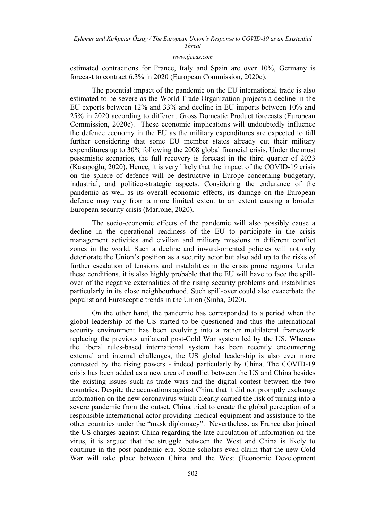#### *[www.ijceas.com](http://www.ijceas.com/)*

estimated contractions for France, Italy and Spain are over 10%, Germany is forecast to contract 6.3% in 2020 (European Commission, 2020c).

The potential impact of the pandemic on the EU international trade is also estimated to be severe as the World Trade Organization projects a decline in the EU exports between 12% and 33% and decline in EU imports between 10% and 25% in 2020 according to different Gross Domestic Product forecasts (European Commission, 2020c). These economic implications will undoubtedly influence the defence economy in the EU as the military expenditures are expected to fall further considering that some EU member states already cut their military expenditures up to 30% following the 2008 global financial crisis. Under the most pessimistic scenarios, the full recovery is forecast in the third quarter of 2023 (Kasapoğlu, 2020). Hence, it is very likely that the impact of the COVID-19 crisis on the sphere of defence will be destructive in Europe concerning budgetary, industrial, and politico-strategic aspects. Considering the endurance of the pandemic as well as its overall economic effects, its damage on the European defence may vary from a more limited extent to an extent causing a broader European security crisis (Marrone, 2020).

The socio-economic effects of the pandemic will also possibly cause a decline in the operational readiness of the EU to participate in the crisis management activities and civilian and military missions in different conflict zones in the world. Such a decline and inward-oriented policies will not only deteriorate the Union's position as a security actor but also add up to the risks of further escalation of tensions and instabilities in the crisis prone regions. Under these conditions, it is also highly probable that the EU will have to face the spillover of the negative externalities of the rising security problems and instabilities particularly in its close neighbourhood. Such spill-over could also exacerbate the populist and Eurosceptic trends in the Union (Sinha, 2020).

On the other hand, the pandemic has corresponded to a period when the global leadership of the US started to be questioned and thus the international security environment has been evolving into a rather multilateral framework replacing the previous unilateral post-Cold War system led by the US. Whereas the liberal rules-based international system has been recently encountering external and internal challenges, the US global leadership is also ever more contested by the rising powers - indeed particularly by China. The COVID-19 crisis has been added as a new area of conflict between the US and China besides the existing issues such as trade wars and the digital contest between the two countries. Despite the accusations against China that it did not promptly exchange information on the new coronavirus which clearly carried the risk of turning into a severe pandemic from the outset, China tried to create the global perception of a responsible international actor providing medical equipment and assistance to the other countries under the "mask diplomacy". Nevertheless, as France also joined the US charges against China regarding the late circulation of information on the virus, it is argued that the struggle between the West and China is likely to continue in the post-pandemic era. Some scholars even claim that the new Cold War will take place between China and the West (Economic Development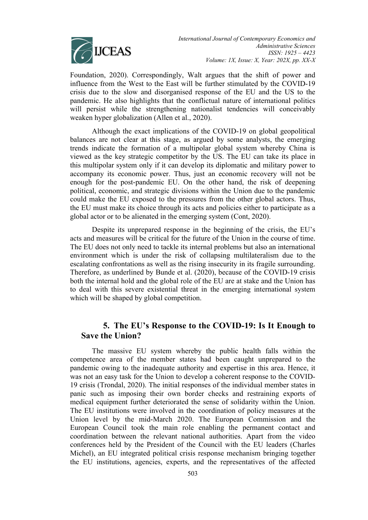

Foundation, 2020). Correspondingly, Walt argues that the shift of power and influence from the West to the East will be further stimulated by the COVID-19 crisis due to the slow and disorganised response of the EU and the US to the pandemic. He also highlights that the conflictual nature of international politics will persist while the strengthening nationalist tendencies will conceivably weaken hyper globalization (Allen et al., 2020).

Although the exact implications of the COVID-19 on global geopolitical balances are not clear at this stage, as argued by some analysts, the emerging trends indicate the formation of a multipolar global system whereby China is viewed as the key strategic competitor by the US. The EU can take its place in this multipolar system only if it can develop its diplomatic and military power to accompany its economic power. Thus, just an economic recovery will not be enough for the post-pandemic EU. On the other hand, the risk of deepening political, economic, and strategic divisions within the Union due to the pandemic could make the EU exposed to the pressures from the other global actors. Thus, the EU must make its choice through its acts and policies either to participate as a global actor or to be alienated in the emerging system (Cont, 2020).

Despite its unprepared response in the beginning of the crisis, the EU's acts and measures will be critical for the future of the Union in the course of time. The EU does not only need to tackle its internal problems but also an international environment which is under the risk of collapsing multilateralism due to the escalating confrontations as well as the rising insecurity in its fragile surrounding. Therefore, as underlined by Bunde et al. (2020), because of the COVID-19 crisis both the internal hold and the global role of the EU are at stake and the Union has to deal with this severe existential threat in the emerging international system which will be shaped by global competition.

# **5. The EU's Response to the COVID-19: Is It Enough to Save the Union?**

The massive EU system whereby the public health falls within the competence area of the member states had been caught unprepared to the pandemic owing to the inadequate authority and expertise in this area. Hence, it was not an easy task for the Union to develop a coherent response to the COVID-19 crisis (Trondal, 2020). The initial responses of the individual member states in panic such as imposing their own border checks and restraining exports of medical equipment further deteriorated the sense of solidarity within the Union. The EU institutions were involved in the coordination of policy measures at the Union level by the mid-March 2020. The European Commission and the European Council took the main role enabling the permanent contact and coordination between the relevant national authorities. Apart from the video conferences held by the President of the Council with the EU leaders (Charles Michel), an EU integrated political crisis response mechanism bringing together the EU institutions, agencies, experts, and the representatives of the affected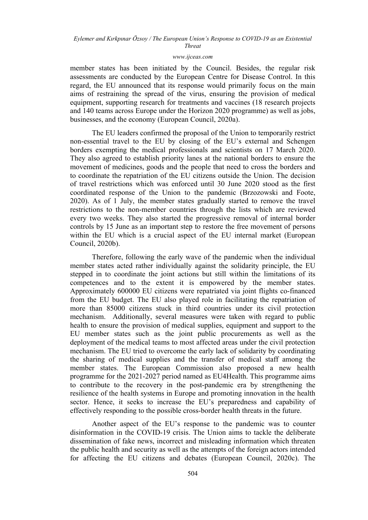#### *[www.ijceas.com](http://www.ijceas.com/)*

member states has been initiated by the Council. Besides, the regular risk assessments are conducted by the European Centre for Disease Control. In this regard, the EU announced that its response would primarily focus on the main aims of restraining the spread of the virus, ensuring the provision of medical equipment, supporting research for treatments and vaccines (18 research projects and 140 teams across Europe under the Horizon 2020 programme) as well as jobs, businesses, and the economy (European Council, 2020a).

The EU leaders confirmed the proposal of the Union to temporarily restrict non-essential travel to the EU by closing of the EU's external and Schengen borders exempting the medical professionals and scientists on 17 March 2020. They also agreed to establish priority lanes at the national borders to ensure the movement of medicines, goods and the people that need to cross the borders and to coordinate the repatriation of the EU citizens outside the Union. The decision of travel restrictions which was enforced until 30 June 2020 stood as the first coordinated response of the Union to the pandemic (Brzozowski and Foote, 2020). As of 1 July, the member states gradually started to remove the travel restrictions to the non-member countries through the lists which are reviewed every two weeks. They also started the progressive removal of internal border controls by 15 June as an important step to restore the free movement of persons within the EU which is a crucial aspect of the EU internal market (European Council, 2020b).

Therefore, following the early wave of the pandemic when the individual member states acted rather individually against the solidarity principle, the EU stepped in to coordinate the joint actions but still within the limitations of its competences and to the extent it is empowered by the member states. Approximately 600000 EU citizens were repatriated via joint flights co-financed from the EU budget. The EU also played role in facilitating the repatriation of more than 85000 citizens stuck in third countries under its civil protection mechanism. Additionally, several measures were taken with regard to public health to ensure the provision of medical supplies, equipment and support to the EU member states such as the joint public procurements as well as the deployment of the medical teams to most affected areas under the civil protection mechanism. The EU tried to overcome the early lack of solidarity by coordinating the sharing of medical supplies and the transfer of medical staff among the member states. The European Commission also proposed a new health programme for the 2021-2027 period named as EU4Health. This programme aims to contribute to the recovery in the post-pandemic era by strengthening the resilience of the health systems in Europe and promoting innovation in the health sector. Hence, it seeks to increase the EU's preparedness and capability of effectively responding to the possible cross-border health threats in the future.

Another aspect of the EU's response to the pandemic was to counter disinformation in the COVID-19 crisis. The Union aims to tackle the deliberate dissemination of fake news, incorrect and misleading information which threaten the public health and security as well as the attempts of the foreign actors intended for affecting the EU citizens and debates (European Council, 2020c). The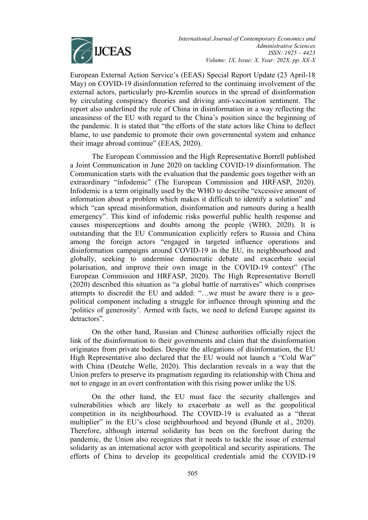

European External Action Service's (EEAS) Special Report Update (23 April-18 May) on COVID-19 disinformation referred to the continuing involvement of the external actors, particularly pro-Kremlin sources in the spread of disinformation by circulating conspiracy theories and driving anti-vaccination sentiment. The report also underlined the role of China in disinformation in a way reflecting the uneasiness of the EU with regard to the China's position since the beginning of the pandemic. It is stated that "the efforts of the state actors like China to deflect blame, to use pandemic to promote their own governmental system and enhance their image abroad continue" (EEAS, 2020).

The European Commission and the High Representative Borrell published a Joint Communication in June 2020 on tackling COVID-19 disinformation. The Communication starts with the evaluation that the pandemic goes together with an extraordinary "infodemic" (The European Commission and HRFASP, 2020). Infodemic is a term originally used by the WHO to describe "excessive amount of information about a problem which makes it difficult to identify a solution" and which "can spread misinformation, disinformation and rumours during a health emergency". This kind of infodemic risks powerful public health response and causes misperceptions and doubts among the people (WHO, 2020). It is outstanding that the EU Communication explicitly refers to Russia and China among the foreign actors "engaged in targeted influence operations and disinformation campaigns around COVID-19 in the EU, its neighbourhood and globally, seeking to undermine democratic debate and exacerbate social polarisation, and improve their own image in the COVID-19 context" (The European Commission and HRFASP, 2020). The High Representative Borrell (2020) described this situation as "a global battle of narratives" which comprises attempts to discredit the EU and added: "…we must be aware there is a geopolitical component including a struggle for influence through spinning and the 'politics of generosity'. Armed with facts, we need to defend Europe against its detractors".

On the other hand, Russian and Chinese authorities officially reject the link of the disinformation to their governments and claim that the disinformation originates from private bodies. Despite the allegations of disinformation, the EU High Representative also declared that the EU would not launch a "Cold War" with China (Deutche Welle, 2020). This declaration reveals in a way that the Union prefers to preserve its pragmatism regarding its relationship with China and not to engage in an overt confrontation with this rising power unlike the US.

On the other hand, the EU must face the security challenges and vulnerabilities which are likely to exacerbate as well as the geopolitical competition in its neighbourhood. The COVID-19 is evaluated as a "threat multiplier" in the EU's close neighbourhood and beyond (Bunde et al., 2020). Therefore, although internal solidarity has been on the forefront during the pandemic, the Union also recognizes that it needs to tackle the issue of external solidarity as an international actor with geopolitical and security aspirations. The efforts of China to develop its geopolitical credentials amid the COVID-19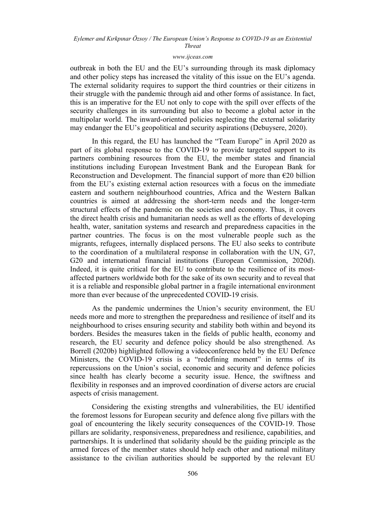#### *[www.ijceas.com](http://www.ijceas.com/)*

outbreak in both the EU and the EU's surrounding through its mask diplomacy and other policy steps has increased the vitality of this issue on the EU's agenda. The external solidarity requires to support the third countries or their citizens in their struggle with the pandemic through aid and other forms of assistance. In fact, this is an imperative for the EU not only to cope with the spill over effects of the security challenges in its surrounding but also to become a global actor in the multipolar world. The inward-oriented policies neglecting the external solidarity may endanger the EU's geopolitical and security aspirations (Debuysere, 2020).

In this regard, the EU has launched the "Team Europe" in April 2020 as part of its global response to the COVID-19 to provide targeted support to its partners combining resources from the EU, the member states and financial institutions including European Investment Bank and the European Bank for Reconstruction and Development. The financial support of more than  $\epsilon$ 20 billion from the EU's existing external action resources with a focus on the immediate eastern and southern neighbourhood countries, Africa and the Western Balkan countries is aimed at addressing the short-term needs and the longer-term structural effects of the pandemic on the societies and economy. Thus, it covers the direct health crisis and humanitarian needs as well as the efforts of developing health, water, sanitation systems and research and preparedness capacities in the partner countries. The focus is on the most vulnerable people such as the migrants, refugees, internally displaced persons. The EU also seeks to contribute to the coordination of a multilateral response in collaboration with the UN, G7, G20 and international financial institutions (European Commission, 2020d). Indeed, it is quite critical for the EU to contribute to the resilience of its mostaffected partners worldwide both for the sake of its own security and to reveal that it is a reliable and responsible global partner in a fragile international environment more than ever because of the unprecedented COVID-19 crisis.

As the pandemic undermines the Union's security environment, the EU needs more and more to strengthen the preparedness and resilience of itself and its neighbourhood to crises ensuring security and stability both within and beyond its borders. Besides the measures taken in the fields of public health, economy and research, the EU security and defence policy should be also strengthened. As Borrell (2020b) highlighted following a videoconference held by the EU Defence Ministers, the COVID-19 crisis is a "redefining moment" in terms of its repercussions on the Union's social, economic and security and defence policies since health has clearly become a security issue. Hence, the swiftness and flexibility in responses and an improved coordination of diverse actors are crucial aspects of crisis management.

Considering the existing strengths and vulnerabilities, the EU identified the foremost lessons for European security and defence along five pillars with the goal of encountering the likely security consequences of the COVID-19. Those pillars are solidarity, responsiveness, preparedness and resilience, capabilities, and partnerships. It is underlined that solidarity should be the guiding principle as the armed forces of the member states should help each other and national military assistance to the civilian authorities should be supported by the relevant EU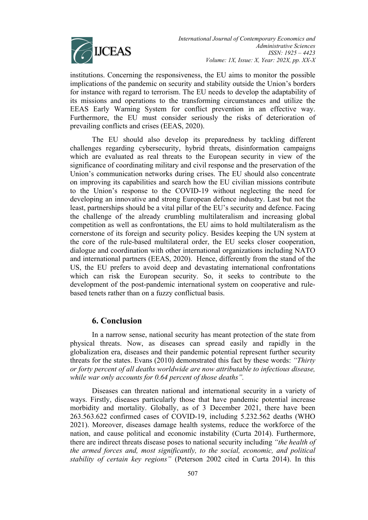

institutions. Concerning the responsiveness, the EU aims to monitor the possible implications of the pandemic on security and stability outside the Union's borders for instance with regard to terrorism. The EU needs to develop the adaptability of its missions and operations to the transforming circumstances and utilize the EEAS Early Warning System for conflict prevention in an effective way. Furthermore, the EU must consider seriously the risks of deterioration of prevailing conflicts and crises (EEAS, 2020).

The EU should also develop its preparedness by tackling different challenges regarding cybersecurity, hybrid threats, disinformation campaigns which are evaluated as real threats to the European security in view of the significance of coordinating military and civil response and the preservation of the Union's communication networks during crises. The EU should also concentrate on improving its capabilities and search how the EU civilian missions contribute to the Union's response to the COVID-19 without neglecting the need for developing an innovative and strong European defence industry. Last but not the least, partnerships should be a vital pillar of the EU's security and defence. Facing the challenge of the already crumbling multilateralism and increasing global competition as well as confrontations, the EU aims to hold multilateralism as the cornerstone of its foreign and security policy. Besides keeping the UN system at the core of the rule-based multilateral order, the EU seeks closer cooperation, dialogue and coordination with other international organizations including NATO and international partners (EEAS, 2020). Hence, differently from the stand of the US, the EU prefers to avoid deep and devastating international confrontations which can risk the European security. So, it seeks to contribute to the development of the post-pandemic international system on cooperative and rulebased tenets rather than on a fuzzy conflictual basis.

## **6. Conclusion**

In a narrow sense, national security has meant protection of the state from physical threats. Now, as diseases can spread easily and rapidly in the globalization era, diseases and their pandemic potential represent further security threats for the states. Evans (2010) demonstrated this fact by these words: *"Thirty or forty percent of all deaths worldwide are now attributable to infectious disease, while war only accounts for 0.64 percent of those deaths".* 

Diseases can threaten national and international security in a variety of ways. Firstly, diseases particularly those that have pandemic potential increase morbidity and mortality. Globally, as of 3 December 2021, there have been 263.563.622 confirmed cases of COVID-19, including 5.232.562 deaths (WHO 2021). Moreover, diseases damage health systems, reduce the workforce of the nation, and cause political and economic instability (Curta 2014). Furthermore, there are indirect threats disease poses to national security including *"the health of the armed forces and, most significantly, to the social, economic, and political stability of certain key regions"* (Peterson 2002 cited in Curta 2014). In this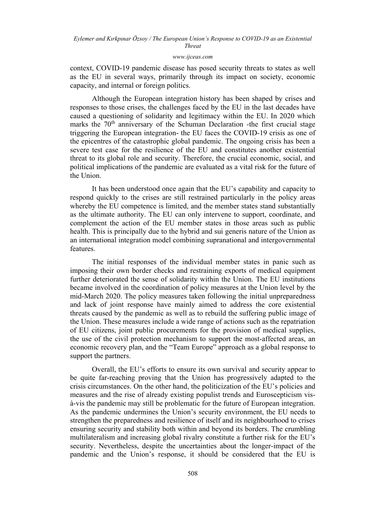#### *[www.ijceas.com](http://www.ijceas.com/)*

context, COVID-19 pandemic disease has posed security threats to states as well as the EU in several ways, primarily through its impact on society, economic capacity, and internal or foreign politics.

Although the European integration history has been shaped by crises and responses to those crises, the challenges faced by the EU in the last decades have caused a questioning of solidarity and legitimacy within the EU. In 2020 which marks the  $70<sup>th</sup>$  anniversary of the Schuman Declaration -the first crucial stage triggering the European integration- the EU faces the COVID-19 crisis as one of the epicentres of the catastrophic global pandemic. The ongoing crisis has been a severe test case for the resilience of the EU and constitutes another existential threat to its global role and security. Therefore, the crucial economic, social, and political implications of the pandemic are evaluated as a vital risk for the future of the Union.

It has been understood once again that the EU's capability and capacity to respond quickly to the crises are still restrained particularly in the policy areas whereby the EU competence is limited, and the member states stand substantially as the ultimate authority. The EU can only intervene to support, coordinate, and complement the action of the EU member states in those areas such as public health. This is principally due to the hybrid and sui generis nature of the Union as an international integration model combining supranational and intergovernmental features.

The initial responses of the individual member states in panic such as imposing their own border checks and restraining exports of medical equipment further deteriorated the sense of solidarity within the Union. The EU institutions became involved in the coordination of policy measures at the Union level by the mid-March 2020. The policy measures taken following the initial unpreparedness and lack of joint response have mainly aimed to address the core existential threats caused by the pandemic as well as to rebuild the suffering public image of the Union. These measures include a wide range of actions such as the repatriation of EU citizens, joint public procurements for the provision of medical supplies, the use of the civil protection mechanism to support the most-affected areas, an economic recovery plan, and the "Team Europe" approach as a global response to support the partners.

Overall, the EU's efforts to ensure its own survival and security appear to be quite far-reaching proving that the Union has progressively adapted to the crisis circumstances. On the other hand, the politicization of the EU's policies and measures and the rise of already existing populist trends and Euroscepticism visà-vis the pandemic may still be problematic for the future of European integration. As the pandemic undermines the Union's security environment, the EU needs to strengthen the preparedness and resilience of itself and its neighbourhood to crises ensuring security and stability both within and beyond its borders. The crumbling multilateralism and increasing global rivalry constitute a further risk for the EU's security. Nevertheless, despite the uncertainties about the longer-impact of the pandemic and the Union's response, it should be considered that the EU is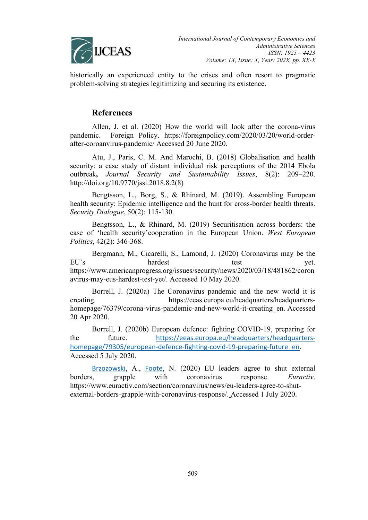

historically an experienced entity to the crises and often resort to pragmatic problem-solving strategies legitimizing and securing its existence.

## **References**

Allen, J. et al. (2020) How the world will look after the corona-virus pandemic. Foreign Policy. https://foreignpolicy.com/2020/03/20/world-orderafter-coroanvirus-pandemic/ Accessed 20 June 2020.

Atu, J., Paris, C. M. And Marochi, B. (2018) Globalisation and health security: a case study of distant individual risk perceptions of the 2014 Ebola outbreak**,** *Journal Security and Sustainability Issues*, 8(2): 209–220. http://doi.org/10.9770/jssi.2018.8.2(8)

Bengtsson, L., Borg, S., & Rhinard, M. (2019). Assembling European health security: Epidemic intelligence and the hunt for cross-border health threats. *Security Dialogue*, 50(2): 115-130.

Bengtsson, L., & Rhinard, M. (2019) Securitisation across borders: the case of 'health security'cooperation in the European Union. *West European Politics*, 42(2): 346-368.

Bergmann, M., Cicarelli, S., Lamond, J. (2020) Coronavirus may be the EU's hardest test test yet. https://www.americanprogress.org/issues/security/news/2020/03/18/481862/coron avirus-may-eus-hardest-test-yet/. Accessed 10 May 2020.

Borrell, J. (2020a) The Coronavirus pandemic and the new world it is creating. https://eeas.europa.eu/headquarters/headquartershomepage/76379/corona-virus-pandemic-and-new-world-it-creating en. Accessed 20 Apr 2020.

Borrell, J. (2020b) European defence: fighting COVID-19, preparing for the future. [https://eeas.europa.eu/headquarters/headquarters](https://eeas.europa.eu/headquarters/headquarters-homepage/79305/european-defence-fighting-covid-19-preparing-future_en)[homepage/79305/european-defence-fighting-covid-19-preparing-future\\_en](https://eeas.europa.eu/headquarters/headquarters-homepage/79305/european-defence-fighting-covid-19-preparing-future_en). Accessed 5 July 2020.

[Brzozowski](https://www.euractiv.com/authors/alexandra-brzozowski/), A., [Foote](https://www.euractiv.com/authors/natasha-foote/), N. (2020) EU leaders agree to shut external borders, grapple with coronavirus response. *Euractiv*. https://www.euractiv.com/section/coronavirus/news/eu-leaders-agree-to-shutexternal-borders-grapple-with-coronavirus-response/. Accessed 1 July 2020.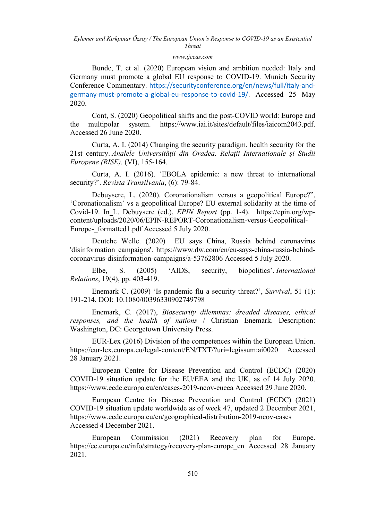### *[www.ijceas.com](http://www.ijceas.com/)*

Bunde, T. et al. (2020) European vision and ambition needed: Italy and Germany must promote a global EU response to COVID-19. Munich Security Conference Commentary. [https://securityconference.org/en/news/full/italy-and](https://securityconference.org/en/news/full/italy-and-germany-must-promote-a-global-eu-response-to-covid-19/)[germany-must-promote-a-global-eu-response-to-covid-19/](https://securityconference.org/en/news/full/italy-and-germany-must-promote-a-global-eu-response-to-covid-19/). Accessed 25 May 2020.

Cont, S. (2020) Geopolitical shifts and the post-COVID world: Europe and the multipolar system. https://www.iai.it/sites/default/files/iaicom2043.pdf. Accessed 26 June 2020.

Curta, A. I. (2014) Changing the security paradigm. health security for the 21st century. *Analele Universităţii din Oradea. Relaţii Internationale şi Studii Europene (RISE).* (VI), 155-164.

Curta, A. I. (2016). 'EBOLA epidemic: a new threat to international security?'. *Revista Transilvania*, (6): 79-84.

Debuysere, L. (2020). Coronationalism versus a geopolitical Europe?", 'Coronationalism' vs a geopolitical Europe? EU external solidarity at the time of Covid-19. In L. Debuysere (ed.), *EPIN Report* (pp. 1-4). https://epin.org/wpcontent/uploads/2020/06/EPIN-REPORT-Coronationalism-versus-Geopolitical-Europe-\_formatted1.pdf Accessed 5 July 2020.

Deutche Welle. (2020) EU says China, Russia behind coronavirus 'disinformation campaigns'. https://www.dw.com/en/eu-says-china-russia-behindcoronavirus-disinformation-campaigns/a-53762806 Accessed 5 July 2020.

Elbe, S. (2005) 'AIDS, security, biopolitics'. *International Relations*, 19(4), pp. 403-419.

Enemark C. (2009) 'Is pandemic flu a security threat?', *Survival*, 51 (1): 191-214, DOI: 10.1080/00396330902749798

Enemark, C. (2017), *Biosecurity dilemmas: dreaded diseases, ethical responses, and the health of nations* / Christian Enemark. Description: Washington, DC: Georgetown University Press.

EUR-Lex (2016) Division of the competences within the European Union. https://eur-lex.europa.eu/legal-content/EN/TXT/?uri=legissum:ai0020 Accessed 28 January 2021.

European Centre for Disease Prevention and Control (ECDC) (2020) COVID-19 situation update for the EU/EEA and the UK, as of 14 July 2020. https://www.ecdc.europa.eu/en/cases-2019-ncov-eueea Accessed 29 June 2020.

European Centre for Disease Prevention and Control (ECDC) (2021) COVID-19 situation update worldwide as of week 47, updated 2 December 2021, https://www.ecdc.europa.eu/en/geographical-distribution-2019-ncov-cases Accessed 4 December 2021.

European Commission (2021) Recovery plan for Europe. https://ec.europa.eu/info/strategy/recovery-plan-europe\_en Accessed 28 January 2021.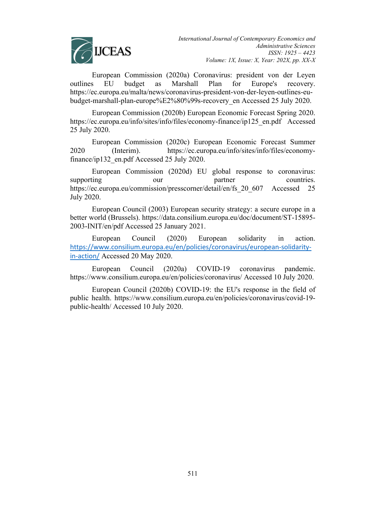

European Commission (2020a) Coronavirus: president von der Leyen outlines EU budget as Marshall Plan for Europe's recovery. https://ec.europa.eu/malta/news/coronavirus-president-von-der-leyen-outlines-eubudget-marshall-plan-europe%E2%80%99s-recovery\_en Accessed 25 July 2020.

European Commission (2020b) European Economic Forecast Spring 2020. https://ec.europa.eu/info/sites/info/files/economy-finance/ip125\_en.pdf Accessed 25 July 2020.

European Commission (2020c) European Economic Forecast Summer 2020 (Interim). https://ec.europa.eu/info/sites/info/files/economyfinance/ip132 en.pdf Accessed 25 July 2020.

European Commission (2020d) EU global response to coronavirus: supporting our our partner countries. https://ec.europa.eu/commission/presscorner/detail/en/fs 20 607 Accessed 25 July 2020.

European Council (2003) European security strategy: a secure europe in a better world (Brussels). https://data.consilium.europa.eu/doc/document/ST-15895- 2003-INIT/en/pdf Accessed 25 January 2021.

European Council (2020) European solidarity in action. [https://www.consilium.europa.eu/en/policies/coronavirus/european-solidarity](https://www.consilium.europa.eu/en/policies/coronavirus/european-solidarity-in-action/)[in-action/](https://www.consilium.europa.eu/en/policies/coronavirus/european-solidarity-in-action/) Accessed 20 May 2020.

European Council (2020a) COVID-19 coronavirus pandemic. https://www.consilium.europa.eu/en/policies/coronavirus/ Accessed 10 July 2020.

European Council (2020b) COVID-19: the EU's response in the field of public health. https://www.consilium.europa.eu/en/policies/coronavirus/covid-19 public-health/ Accessed 10 July 2020.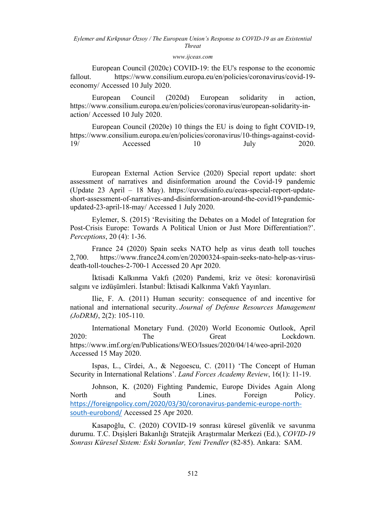### *[www.ijceas.com](http://www.ijceas.com/)*

European Council (2020c) COVID-19: the EU's response to the economic fallout. https://www.consilium.europa.eu/en/policies/coronavirus/covid-19economy/ Accessed 10 July 2020.

European Council (2020d) European solidarity in action, https://www.consilium.europa.eu/en/policies/coronavirus/european-solidarity-inaction/ Accessed 10 July 2020.

European Council (2020e) 10 things the EU is doing to fight COVID-19, https://www.consilium.europa.eu/en/policies/coronavirus/10-things-against-covid-19/ Accessed 10 July 2020.

European External Action Service (2020) Special report update: short assessment of narratives and disinformation around the Covid-19 pandemic (Update 23 April – 18 May). https://euvsdisinfo.eu/eeas-special-report-updateshort-assessment-of-narratives-and-disinformation-around-the-covid19-pandemicupdated-23-april-18-may/ Accessed 1 July 2020.

Eylemer, S. (2015) 'Revisiting the Debates on a Model of Integration for Post-Crisis Europe: Towards A Political Union or Just More Differentiation?'. *Perceptions*, 20 (4): 1-36.

France 24 (2020) Spain seeks NATO help as virus death toll touches 2,700. https://www.france24.com/en/20200324-spain-seeks-nato-help-as-virusdeath-toll-touches-2-700-1 Accessed 20 Apr 2020.

İktisadi Kalkınma Vakfı (2020) Pandemi, kriz ve ötesi: koronavirüsü salgını ve izdüşümleri. İstanbul: İktisadi Kalkınma Vakfı Yayınları.

Ilie, F. A. (2011) Human security: consequence of and incentive for national and international security. *Journal of Defense Resources Management (JoDRM)*, 2(2): 105-110.

International Monetary Fund. (2020) World Economic Outlook, April 2020: The Great Lockdown. https://www.imf.org/en/Publications/WEO/Issues/2020/04/14/weo-april-2020 Accessed 15 May 2020.

Ispas, L., Cîrdei, A., & Negoescu, C. (2011) 'The Concept of Human Security in International Relations'. *Land Forces Academy Review*, 16(1): 11-19.

Johnson, K. (2020) Fighting Pandemic, Europe Divides Again Along North and South Lines. Foreign Policy. [https://foreignpolicy.com/2020/03/30/coronavirus-pandemic-europe-north](https://foreignpolicy.com/2020/03/30/coronavirus-pandemic-europe-north-south-eurobond/)[south-eurobond/](https://foreignpolicy.com/2020/03/30/coronavirus-pandemic-europe-north-south-eurobond/) Accessed 25 Apr 2020.

Kasapoğlu, C. (2020) COVID-19 sonrası küresel güvenlik ve savunma durumu. T.C. Dışişleri Bakanlığı Stratejik Araştırmalar Merkezi (Ed.), *COVID-19 Sonrası Küresel Sistem: Eski Sorunlar, Yeni Trendler* (82-85). Ankara: SAM.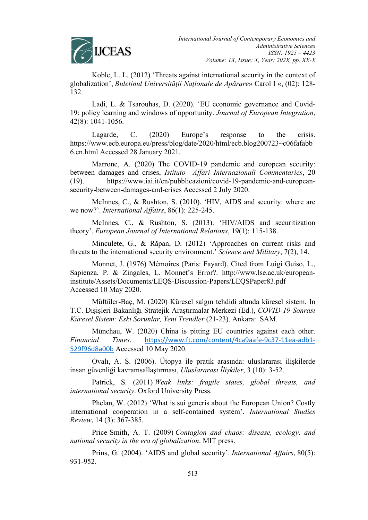

Koble, L. L. (2012) 'Threats against international security in the context of globalization', *Buletinul Universităţii Naţionale de Apărare*» Carol I «, (02): 128- 132.

Ladi, L. & Tsarouhas, D. (2020). 'EU economic governance and Covid-19: policy learning and windows of opportunity. *Journal of European Integration*, 42(8): 1041-1056.

Lagarde, C. (2020) Europe's response to the crisis. https://www.ecb.europa.eu/press/blog/date/2020/html/ecb.blog200723~c06fafabb 6.en.html Accessed 28 January 2021.

Marrone, A. (2020) The COVID-19 pandemic and european security: between damages and crises, *Istituto Affari Internazionali Commentaries*, 20 (19). https://www.iai.it/en/pubblicazioni/covid-19-pandemic-and-europeansecurity-between-damages-and-crises Accessed 2 July 2020.

McInnes, C., & Rushton, S. (2010). 'HIV, AIDS and security: where are we now?'. *International Affairs*, 86(1): 225-245.

McInnes, C., & Rushton, S. (2013). 'HIV/AIDS and securitization theory'. *European Journal of International Relations*, 19(1): 115-138.

Minculete, G., & Răpan, D. (2012) 'Approaches on current risks and threats to the international security environment.' *Science and Military*, 7(2), 14.

Monnet, J. (1976) Mémoires (Paris: Fayard). Cited from Luigi Guiso, L., Sapienza, P. & Zingales, L. Monnet's Error?. http://www.lse.ac.uk/europeaninstitute/Assets/Documents/LEQS-Discussion-Papers/LEQSPaper83.pdf Accessed 10 May 2020.

Müftüler-Baç, M. (2020) Küresel salgın tehdidi altında küresel sistem. In T.C. Dışişleri Bakanlığı Stratejik Araştırmalar Merkezi (Ed.), *COVID-19 Sonrası Küresel Sistem: Eski Sorunlar, Yeni Trendler* (21-23). Ankara: SAM.

Münchau, W. (2020) China is pitting EU countries against each other. *Financial Times*. [https://www.ft.com/content/4ca9aafe-9c37-11ea-adb1-](https://www.ft.com/content/4ca9aafe-9c37-11ea-adb1-529f96d8a00b) [529f96d8a00b](https://www.ft.com/content/4ca9aafe-9c37-11ea-adb1-529f96d8a00b) Accessed 10 May 2020.

Ovalı, A. Ş. (2006). Ütopya ile pratik arasında: uluslararası ilişkilerde insan güvenliği kavramsallaştırması, *Uluslararası İlişkiler*, 3 (10): 3-52.

Patrick, S. (2011) *Weak links: fragile states, global threats, and international security*. Oxford University Press.

Phelan, W. (2012) 'What is sui generis about the European Union? Costly international cooperation in a self-contained system'. *International Studies Review*, 14 (3): 367-385.

Price-Smith, A. T. (2009) *Contagion and chaos: disease, ecology, and national security in the era of globalization*. MIT press.

Prins, G. (2004). 'AIDS and global security'. *International Affairs*, 80(5): 931-952.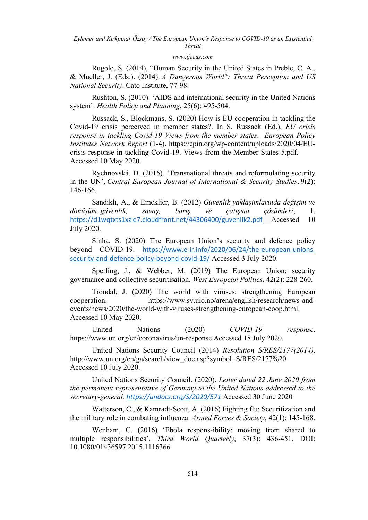## *[www.ijceas.com](http://www.ijceas.com/)*

Rugolo, S. (2014), "Human Security in the United States in Preble, C. A., & Mueller, J. (Eds.). (2014). *A Dangerous World?: Threat Perception and US National Security*. Cato Institute, 77-98.

Rushton, S. (2010). 'AIDS and international security in the United Nations system'. *Health Policy and Planning*, 25(6): 495-504.

Russack, S., Blockmans, S. (2020) How is EU cooperation in tackling the Covid-19 crisis perceived in member states?. In S. Russack (Ed.), *EU crisis response in tackling Covid-19 Views from the member states*. *European Policy Institutes Network Report* (1-4). https://epin.org/wp-content/uploads/2020/04/EUcrisis-response-in-tackling-Covid**-**19.-Views-from-the-Member-States-5.pdf. Accessed 10 May 2020.

Rychnovská, D. (2015). 'Transnational threats and reformulating security in the UN', *Central European Journal of International & Security Studies*, 9(2): 146-166.

Sandıklı, A., & Emeklier, B. (2012) *Güvenlik yaklaşimlarinda değişim ve dönüşüm. güvenlik, savaş, barış ve çatışma çözümleri*, 1. <https://d1wqtxts1xzle7.cloudfront.net/44306400/guvenlik2.pdf> Accessed 10 July 2020.

Sinha, S. (2020) The European Union's security and defence policy beyond COVID-19. [https://www.e-ir.info/2020/06/24/the-european-unions](https://www.e-ir.info/2020/06/24/the-european-unions-security-and-defence-policy-beyond-covid-19/)[security-and-defence-policy-beyond-covid-19/](https://www.e-ir.info/2020/06/24/the-european-unions-security-and-defence-policy-beyond-covid-19/) Accessed 3 July 2020.

Sperling, J., & Webber, M. (2019) The European Union: security governance and collective securitisation. *West European Politics*, 42(2): 228-260.

Trondal, J. (2020) The world with viruses: strengthening European cooperation. https://www.sv.uio.no/arena/english/research/news-andevents/news/2020/the-world-with-viruses-strengthening-european-coop.html. Accessed 10 May 2020.

United Nations (2020) *COVID-19 response*. https://www.un.org/en/coronavirus/un-response Accessed 18 July 2020.

United Nations Security Council (2014) *Resolution S/RES/2177(2014)*. http://www.un.org/en/ga/search/view\_doc.asp?symbol=S/RES/2177%20 Accessed 10 July 2020.

United Nations Security Council. (2020). *Letter dated 22 June 2020 from the permanent representative of Germany to the United Nations addressed to the secretary-general, <https://undocs.org/S/2020/571>* Accessed 30 June 2020*.*

Watterson, C., & Kamradt-Scott, A. (2016) Fighting flu: Securitization and the military role in combating influenza. *Armed Forces & Society*, 42(1): 145-168.

Wenham, C. (2016) 'Ebola respons-ibility: moving from shared to multiple responsibilities'. *Third World Quarterly*, 37(3): 436-451, DOI: 10.1080/01436597.2015.1116366